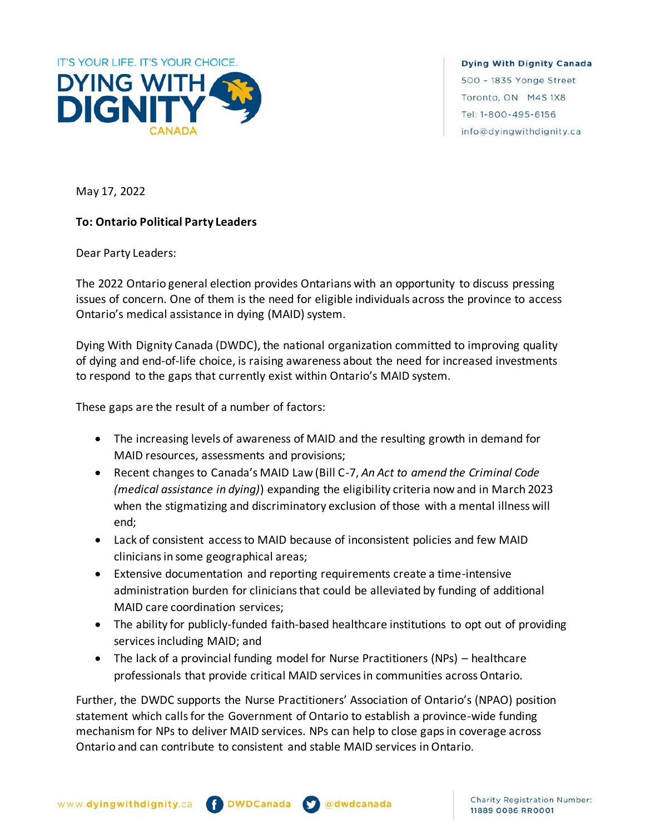

**Dying With Dignity Canada** 500 - 1835 Yonge Street Toronto, ON M4S 1X8 Tel: 1-800-495-6156 info@dyingwithdignity.ca

May 17, 2022

## **To: Ontario Political Party Leaders**

Dear Party Leaders:

The 2022 Ontario general election provides Ontarians with an opportunity to discuss pressing issues of concern. One of them is the need for eligible individuals across the province to access Ontario's medical assistance in dying (MAID) system.

Dying With Dignity Canada (DWDC), the national organization committed to improving quality of dying and end-of-life choice, is raising awareness about the need for increased investments to respond to the gaps that currently exist within Ontario's MAID system.

These gaps are the result of a number of factors:

- The increasing levels of awareness of MAID and the resulting growth in demand for MAID resources, assessments and provisions;
- Recent changes to Canada's MAID Law (Bill C-7, *An Act to amend the Criminal Code (medical assistance in dying)*) expanding the eligibility criteria now and in March 2023 when the stigmatizing and discriminatory exclusion of those with a mental illness will end;
- Lack of consistent access to MAID because of inconsistent policies and few MAID clinicians in some geographical areas;
- Extensive documentation and reporting requirements create a time-intensive administration burden for clinicians that could be alleviated by funding of additional MAID care coordination services;
- The ability for publicly-funded faith-based healthcare institutions to opt out of providing services including MAID; and
- The lack of a provincial funding model for Nurse Practitioners (NPs) healthcare professionals that provide critical MAID services in communities across Ontario.

Further, the DWDC supports the Nurse Practitioners' Association of Ontario's (NPAO) position statement which calls for the Government of Ontario to establish a province-wide funding mechanism for NPs to deliver MAID services. NPs can help to close gaps in coverage across Ontario and can contribute to consistent and stable MAID services in Ontario.